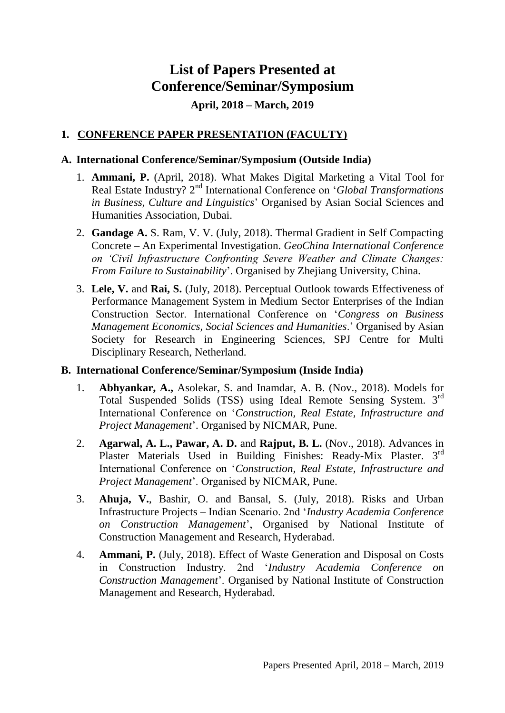# **List of Papers Presented at Conference/Seminar/Symposium April, 2018 – March, 2019**

## **1. CONFERENCE PAPER PRESENTATION (FACULTY)**

## **A. International Conference/Seminar/Symposium (Outside India)**

- 1. **Ammani, P.** (April, 2018). What Makes Digital Marketing a Vital Tool for Real Estate Industry? 2<sup>nd</sup> International Conference on '*Global Transformations in Business, Culture and Linguistics*' Organised by Asian Social Sciences and Humanities Association, Dubai.
- 2. **Gandage A.** S. Ram, V. V. (July, 2018). Thermal Gradient in Self Compacting Concrete – An Experimental Investigation. *GeoChina International Conference on 'Civil Infrastructure Confronting Severe Weather and Climate Changes: From Failure to Sustainability*'. Organised by Zhejiang University, China.
- 3. **Lele, V.** and **Rai, S.** (July, 2018). Perceptual Outlook towards Effectiveness of Performance Management System in Medium Sector Enterprises of the Indian Construction Sector. International Conference on '*Congress on Business Management Economics, Social Sciences and Humanities*.' Organised by Asian Society for Research in Engineering Sciences, SPJ Centre for Multi Disciplinary Research, Netherland.

#### **B. International Conference/Seminar/Symposium (Inside India)**

- 1. **Abhyankar, A.,** Asolekar, S. and Inamdar, A. B. (Nov., 2018). Models for Total Suspended Solids (TSS) using Ideal Remote Sensing System. 3rd International Conference on '*Construction, Real Estate, Infrastructure and Project Management*'. Organised by NICMAR, Pune.
- 2. **Agarwal, A. L., Pawar, A. D.** and **Rajput, B. L.** (Nov., 2018). Advances in Plaster Materials Used in Building Finishes: Ready-Mix Plaster. 3rd International Conference on '*Construction, Real Estate, Infrastructure and Project Management*'. Organised by NICMAR, Pune.
- 3. **Ahuja, V.**, Bashir, O. and Bansal, S. (July, 2018). Risks and Urban Infrastructure Projects – Indian Scenario. 2nd '*Industry Academia Conference on Construction Management*', Organised by National Institute of Construction Management and Research, Hyderabad.
- 4. **Ammani, P.** (July, 2018). Effect of Waste Generation and Disposal on Costs in Construction Industry. 2nd '*Industry Academia Conference on Construction Management*'. Organised by National Institute of Construction Management and Research, Hyderabad.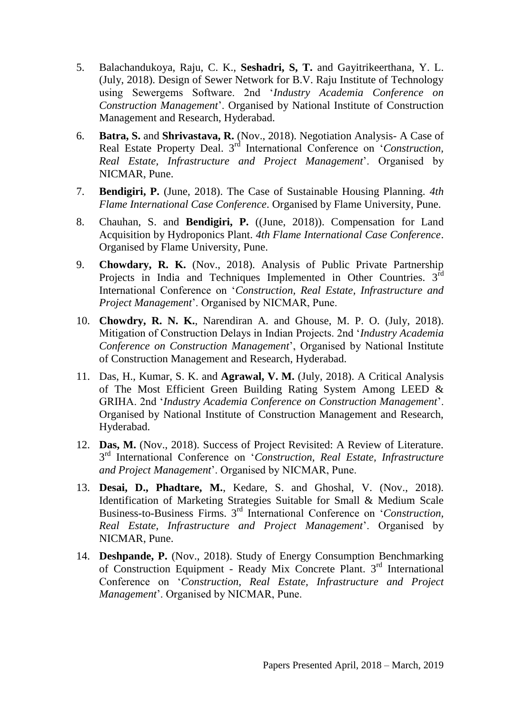- 5. Balachandukoya, Raju, C. K., **Seshadri, S, T.** and Gayitrikeerthana, Y. L. (July, 2018). Design of Sewer Network for B.V. Raju Institute of Technology using Sewergems Software. 2nd '*Industry Academia Conference on Construction Management*'. Organised by National Institute of Construction Management and Research, Hyderabad.
- 6. **Batra, S.** and **Shrivastava, R.** (Nov., 2018). Negotiation Analysis- A Case of Real Estate Property Deal. 3<sup>rd</sup> International Conference on 'Construction, *Real Estate, Infrastructure and Project Management*'. Organised by NICMAR, Pune.
- 7. **Bendigiri, P.** (June, 2018). The Case of Sustainable Housing Planning. *4th Flame International Case Conference*. Organised by Flame University, Pune.
- 8. Chauhan, S. and **Bendigiri, P.** ((June, 2018)). Compensation for Land Acquisition by Hydroponics Plant. *4th Flame International Case Conference*. Organised by Flame University, Pune.
- 9. **Chowdary, R. K.** (Nov., 2018). Analysis of Public Private Partnership Projects in India and Techniques Implemented in Other Countries.  $3<sup>rd</sup>$ International Conference on '*Construction, Real Estate, Infrastructure and Project Management*'. Organised by NICMAR, Pune.
- 10. **Chowdry, R. N. K.**, Narendiran A. and Ghouse, M. P. O. (July, 2018). Mitigation of Construction Delays in Indian Projects. 2nd '*Industry Academia Conference on Construction Management*', Organised by National Institute of Construction Management and Research, Hyderabad.
- 11. Das, H., Kumar, S. K. and **Agrawal, V. M.** (July, 2018). A Critical Analysis of The Most Efficient Green Building Rating System Among LEED & GRIHA. 2nd '*Industry Academia Conference on Construction Management*'. Organised by National Institute of Construction Management and Research, Hyderabad.
- 12. **Das, M.** (Nov., 2018). Success of Project Revisited: A Review of Literature. 3 rd International Conference on '*Construction, Real Estate, Infrastructure and Project Management*'. Organised by NICMAR, Pune.
- 13. **Desai, D., Phadtare, M.**, Kedare, S. and Ghoshal, V. (Nov., 2018). Identification of Marketing Strategies Suitable for Small & Medium Scale Business-to-Business Firms. 3rd International Conference on '*Construction, Real Estate, Infrastructure and Project Management*'. Organised by NICMAR, Pune.
- 14. **Deshpande, P.** (Nov., 2018). Study of Energy Consumption Benchmarking of Construction Equipment - Ready Mix Concrete Plant. 3rd International Conference on '*Construction, Real Estate, Infrastructure and Project Management*'. Organised by NICMAR, Pune.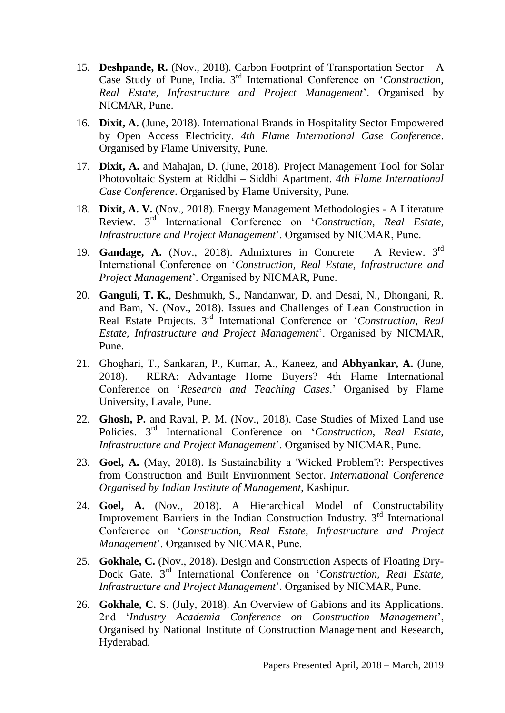- 15. **Deshpande, R.** (Nov., 2018). Carbon Footprint of Transportation Sector A Case Study of Pune, India. 3rd International Conference on '*Construction, Real Estate, Infrastructure and Project Management*'. Organised by NICMAR, Pune.
- 16. **Dixit, A.** (June, 2018). International Brands in Hospitality Sector Empowered by Open Access Electricity. *4th Flame International Case Conference*. Organised by Flame University, Pune.
- 17. **Dixit, A.** and Mahajan, D. (June, 2018). Project Management Tool for Solar Photovoltaic System at Riddhi – Siddhi Apartment. *4th Flame International Case Conference*. Organised by Flame University, Pune.
- 18. **Dixit, A. V.** (Nov., 2018). Energy Management Methodologies A Literature Review. 3rd International Conference on '*Construction, Real Estate, Infrastructure and Project Management*'. Organised by NICMAR, Pune.
- 19. **Gandage, A.** (Nov., 2018). Admixtures in Concrete A Review. 3rd International Conference on '*Construction, Real Estate, Infrastructure and Project Management*'. Organised by NICMAR, Pune.
- 20. **Ganguli, T. K.**, Deshmukh, S., Nandanwar, D. and Desai, N., Dhongani, R. and Bam, N. (Nov., 2018). Issues and Challenges of Lean Construction in Real Estate Projects. 3rd International Conference on '*Construction, Real Estate, Infrastructure and Project Management*'. Organised by NICMAR, Pune.
- 21. Ghoghari, T., Sankaran, P., Kumar, A., Kaneez, and **Abhyankar, A.** (June, 2018). RERA: Advantage Home Buyers? 4th Flame International Conference on '*Research and Teaching Cases*.' Organised by Flame University, Lavale, Pune.
- 22. **Ghosh, P.** and Raval, P. M. (Nov., 2018). Case Studies of Mixed Land use Policies. 3rd International Conference on '*Construction, Real Estate, Infrastructure and Project Management*'. Organised by NICMAR, Pune.
- 23. **Goel, A.** (May, 2018). Is Sustainability a 'Wicked Problem'?: Perspectives from Construction and Built Environment Sector. *International Conference Organised by Indian Institute of Management*, Kashipur.
- 24. **Goel, A.** (Nov., 2018). A Hierarchical Model of Constructability Improvement Barriers in the Indian Construction Industry. 3rd International Conference on '*Construction, Real Estate, Infrastructure and Project Management*'. Organised by NICMAR, Pune.
- 25. **Gokhale, C.** (Nov., 2018). Design and Construction Aspects of Floating Dry-Dock Gate. 3<sup>rd</sup> International Conference on '*Construction, Real Estate*, *Infrastructure and Project Management*'. Organised by NICMAR, Pune.
- 26. **Gokhale, C.** S. (July, 2018). An Overview of Gabions and its Applications. 2nd '*Industry Academia Conference on Construction Management*', Organised by National Institute of Construction Management and Research, Hyderabad.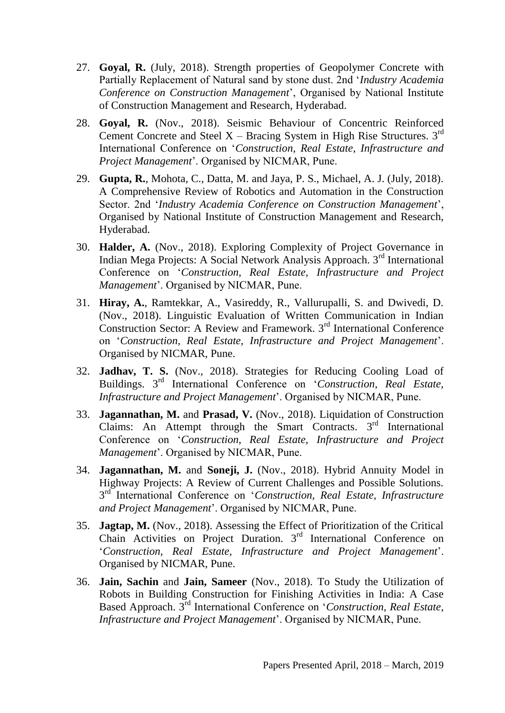- 27. **Goyal, R.** (July, 2018). Strength properties of Geopolymer Concrete with Partially Replacement of Natural sand by stone dust. 2nd '*Industry Academia Conference on Construction Management*', Organised by National Institute of Construction Management and Research, Hyderabad.
- 28. **Goyal, R.** (Nov., 2018). Seismic Behaviour of Concentric Reinforced Cement Concrete and Steel  $X$  – Bracing System in High Rise Structures.  $3^{rd}$ International Conference on '*Construction, Real Estate, Infrastructure and Project Management*'. Organised by NICMAR, Pune.
- 29. **Gupta, R.**, Mohota, C., Datta, M. and Jaya, P. S., Michael, A. J. (July, 2018). A Comprehensive Review of Robotics and Automation in the Construction Sector. 2nd '*Industry Academia Conference on Construction Management*', Organised by National Institute of Construction Management and Research, Hyderabad.
- 30. **Halder, A.** (Nov., 2018). Exploring Complexity of Project Governance in Indian Mega Projects: A Social Network Analysis Approach. 3rd International Conference on '*Construction, Real Estate, Infrastructure and Project Management*'. Organised by NICMAR, Pune.
- 31. **Hiray, A.**, Ramtekkar, A., Vasireddy, R., Vallurupalli, S. and Dwivedi, D. (Nov., 2018). Linguistic Evaluation of Written Communication in Indian Construction Sector: A Review and Framework. 3<sup>rd</sup> International Conference on '*Construction, Real Estate, Infrastructure and Project Management*'. Organised by NICMAR, Pune.
- 32. **Jadhav, T. S.** (Nov., 2018). Strategies for Reducing Cooling Load of Buildings. 3rd International Conference on '*Construction, Real Estate, Infrastructure and Project Management*'. Organised by NICMAR, Pune.
- 33. **Jagannathan, M.** and **Prasad, V.** (Nov., 2018). Liquidation of Construction Claims: An Attempt through the Smart Contracts. 3<sup>rd</sup> International Conference on '*Construction, Real Estate, Infrastructure and Project Management*'. Organised by NICMAR, Pune.
- 34. **Jagannathan, M.** and **Soneji, J.** (Nov., 2018). Hybrid Annuity Model in Highway Projects: A Review of Current Challenges and Possible Solutions. 3<sup>rd</sup> International Conference on 'Construction, Real Estate, Infrastructure *and Project Management*'. Organised by NICMAR, Pune.
- 35. **Jagtap, M.** (Nov., 2018). Assessing the Effect of Prioritization of the Critical Chain Activities on Project Duration. 3<sup>rd</sup> International Conference on '*Construction, Real Estate, Infrastructure and Project Management*'. Organised by NICMAR, Pune.
- 36. **Jain, Sachin** and **Jain, Sameer** (Nov., 2018). To Study the Utilization of Robots in Building Construction for Finishing Activities in India: A Case Based Approach. 3rd International Conference on '*Construction, Real Estate, Infrastructure and Project Management*'. Organised by NICMAR, Pune.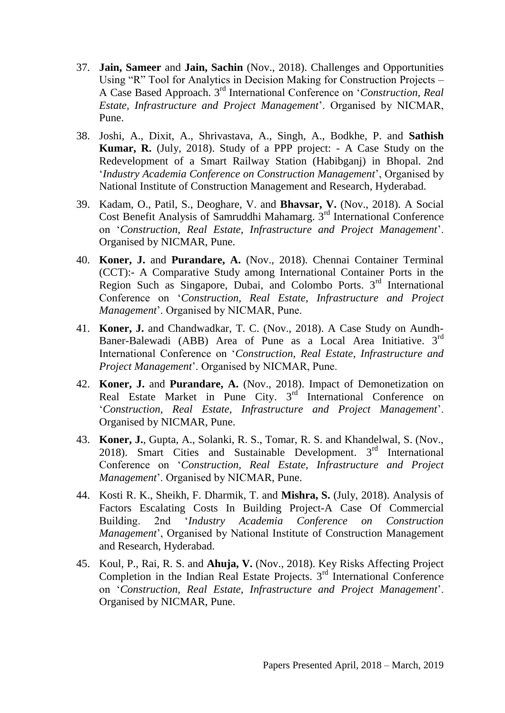- 37. **Jain, Sameer** and **Jain, Sachin** (Nov., 2018). Challenges and Opportunities Using "R" Tool for Analytics in Decision Making for Construction Projects – A Case Based Approach. 3rd International Conference on '*Construction, Real Estate, Infrastructure and Project Management*'. Organised by NICMAR, Pune.
- 38. Joshi, A., Dixit, A., Shrivastava, A., Singh, A., Bodkhe, P. and **Sathish Kumar, R.** (July, 2018). Study of a PPP project: - A Case Study on the Redevelopment of a Smart Railway Station (Habibganj) in Bhopal. 2nd '*Industry Academia Conference on Construction Management*', Organised by National Institute of Construction Management and Research, Hyderabad.
- 39. Kadam, O., Patil, S., Deoghare, V. and **Bhavsar, V.** (Nov., 2018). A Social Cost Benefit Analysis of Samruddhi Mahamarg. 3rd International Conference on '*Construction, Real Estate, Infrastructure and Project Management*'. Organised by NICMAR, Pune.
- 40. **Koner, J.** and **Purandare, A.** (Nov., 2018). Chennai Container Terminal (CCT):- A Comparative Study among International Container Ports in the Region Such as Singapore, Dubai, and Colombo Ports. 3rd International Conference on '*Construction, Real Estate, Infrastructure and Project Management*'. Organised by NICMAR, Pune.
- 41. **Koner, J.** and Chandwadkar, T. C. (Nov., 2018). A Case Study on Aundh-Baner-Balewadi (ABB) Area of Pune as a Local Area Initiative. 3rd International Conference on '*Construction, Real Estate, Infrastructure and Project Management*'. Organised by NICMAR, Pune.
- 42. **Koner, J.** and **Purandare, A.** (Nov., 2018). Impact of Demonetization on Real Estate Market in Pune City. 3<sup>rd</sup> International Conference on '*Construction, Real Estate, Infrastructure and Project Management*'. Organised by NICMAR, Pune.
- 43. **Koner, J.**, Gupta, A., Solanki, R. S., Tomar, R. S. and Khandelwal, S. (Nov., 2018). Smart Cities and Sustainable Development. 3rd International Conference on '*Construction, Real Estate, Infrastructure and Project Management*'. Organised by NICMAR, Pune.
- 44. Kosti R. K., Sheikh, F. Dharmik, T. and **Mishra, S.** (July, 2018). Analysis of Factors Escalating Costs In Building Project-A Case Of Commercial Building. 2nd '*Industry Academia Conference on Construction Management*', Organised by National Institute of Construction Management and Research, Hyderabad.
- 45. Koul, P., Rai, R. S. and **Ahuja, V.** (Nov., 2018). Key Risks Affecting Project Completion in the Indian Real Estate Projects.  $3<sup>rd</sup>$  International Conference on '*Construction, Real Estate, Infrastructure and Project Management*'. Organised by NICMAR, Pune.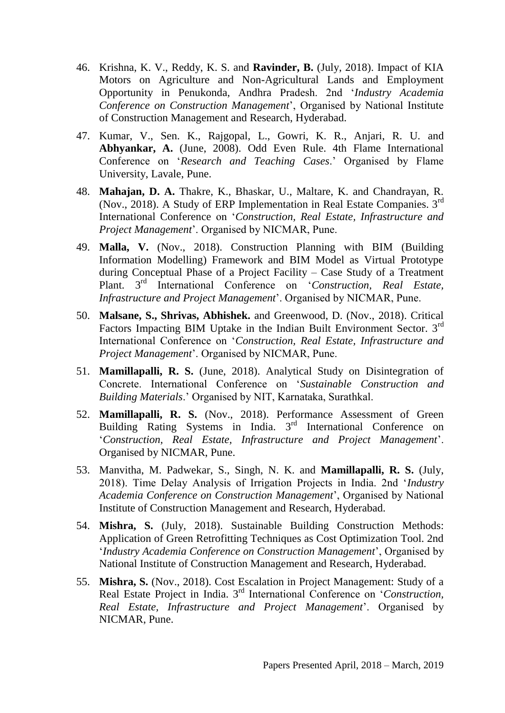- 46. Krishna, K. V., Reddy, K. S. and **Ravinder, B.** (July, 2018). Impact of KIA Motors on Agriculture and Non-Agricultural Lands and Employment Opportunity in Penukonda, Andhra Pradesh. 2nd '*Industry Academia Conference on Construction Management*', Organised by National Institute of Construction Management and Research, Hyderabad.
- 47. Kumar, V., Sen. K., Rajgopal, L., Gowri, K. R., Anjari, R. U. and **Abhyankar, A.** (June, 2008). Odd Even Rule. 4th Flame International Conference on '*Research and Teaching Cases*.' Organised by Flame University, Lavale, Pune.
- 48. **Mahajan, D. A.** Thakre, K., Bhaskar, U., Maltare, K. and Chandrayan, R. (Nov., 2018). A Study of ERP Implementation in Real Estate Companies. 3rd International Conference on '*Construction, Real Estate, Infrastructure and Project Management*'. Organised by NICMAR, Pune.
- 49. **Malla, V.** (Nov., 2018). Construction Planning with BIM (Building Information Modelling) Framework and BIM Model as Virtual Prototype during Conceptual Phase of a Project Facility – Case Study of a Treatment Plant. 3rd International Conference on '*Construction, Real Estate, Infrastructure and Project Management*'. Organised by NICMAR, Pune.
- 50. **Malsane, S., Shrivas, Abhishek.** and Greenwood, D. (Nov., 2018). Critical Factors Impacting BIM Uptake in the Indian Built Environment Sector. 3<sup>rd</sup> International Conference on '*Construction, Real Estate, Infrastructure and Project Management*'. Organised by NICMAR, Pune.
- 51. **Mamillapalli, R. S.** (June, 2018). Analytical Study on Disintegration of Concrete. International Conference on '*Sustainable Construction and Building Materials*.' Organised by NIT, Karnataka, Surathkal.
- 52. **Mamillapalli, R. S.** (Nov., 2018). Performance Assessment of Green Building Rating Systems in India. 3<sup>rd</sup> International Conference on '*Construction, Real Estate, Infrastructure and Project Management*'. Organised by NICMAR, Pune.
- 53. Manvitha, M. Padwekar, S., Singh, N. K. and **Mamillapalli, R. S.** (July, 2018). Time Delay Analysis of Irrigation Projects in India. 2nd '*Industry Academia Conference on Construction Management*', Organised by National Institute of Construction Management and Research, Hyderabad.
- 54. **Mishra, S.** (July, 2018). Sustainable Building Construction Methods: Application of Green Retrofitting Techniques as Cost Optimization Tool. 2nd '*Industry Academia Conference on Construction Management*', Organised by National Institute of Construction Management and Research, Hyderabad.
- 55. **Mishra, S.** (Nov., 2018). Cost Escalation in Project Management: Study of a Real Estate Project in India. 3rd International Conference on '*Construction, Real Estate, Infrastructure and Project Management*'. Organised by NICMAR, Pune.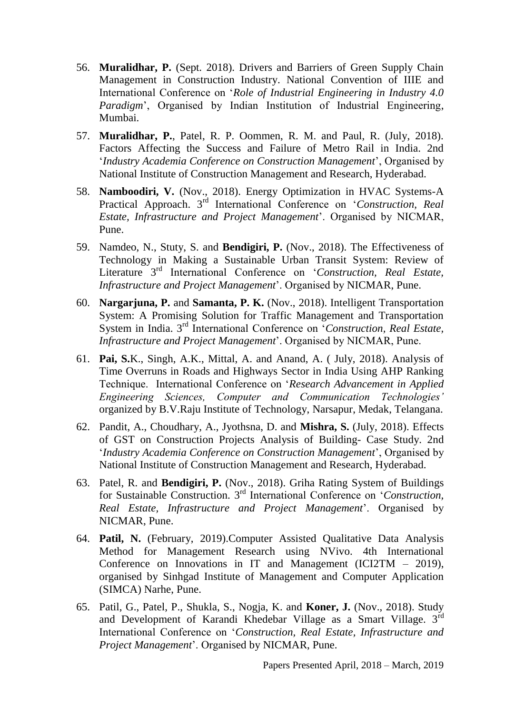- 56. **Muralidhar, P.** (Sept. 2018). Drivers and Barriers of Green Supply Chain Management in Construction Industry. National Convention of IIIE and International Conference on '*Role of Industrial Engineering in Industry 4.0 Paradigm*', Organised by Indian Institution of Industrial Engineering, Mumbai.
- 57. **Muralidhar, P.**, Patel, R. P. Oommen, R. M. and Paul, R. (July, 2018). Factors Affecting the Success and Failure of Metro Rail in India. 2nd '*Industry Academia Conference on Construction Management*', Organised by National Institute of Construction Management and Research, Hyderabad.
- 58. **Namboodiri, V.** (Nov., 2018). Energy Optimization in HVAC Systems-A Practical Approach. 3rd International Conference on '*Construction, Real Estate, Infrastructure and Project Management*'. Organised by NICMAR, Pune.
- 59. Namdeo, N., Stuty, S. and **Bendigiri, P.** (Nov., 2018). The Effectiveness of Technology in Making a Sustainable Urban Transit System: Review of Literature 3 rd International Conference on '*Construction, Real Estate, Infrastructure and Project Management*'. Organised by NICMAR, Pune.
- 60. **Nargarjuna, P.** and **Samanta, P. K.** (Nov., 2018). Intelligent Transportation System: A Promising Solution for Traffic Management and Transportation System in India. 3rd International Conference on '*Construction, Real Estate, Infrastructure and Project Management*'. Organised by NICMAR, Pune.
- 61. **Pai, S.**K., Singh, A.K., Mittal, A. and Anand, A. ( July, 2018). Analysis of Time Overruns in Roads and Highways Sector in India Using AHP Ranking Technique. International Conference on '*Research Advancement in Applied Engineering Sciences, Computer and Communication Technologies'* organized by B.V.Raju Institute of Technology, Narsapur, Medak, Telangana.
- 62. Pandit, A., Choudhary, A., Jyothsna, D. and **Mishra, S.** (July, 2018). Effects of GST on Construction Projects Analysis of Building- Case Study. 2nd '*Industry Academia Conference on Construction Management*', Organised by National Institute of Construction Management and Research, Hyderabad.
- 63. Patel, R. and **Bendigiri, P.** (Nov., 2018). Griha Rating System of Buildings for Sustainable Construction. 3rd International Conference on '*Construction, Real Estate, Infrastructure and Project Management*'. Organised by NICMAR, Pune.
- 64. **Patil, N.** (February, 2019).Computer Assisted Qualitative Data Analysis Method for Management Research using NVivo. 4th International Conference on Innovations in IT and Management (ICI2TM – 2019), organised by Sinhgad Institute of Management and Computer Application (SIMCA) Narhe, Pune.
- 65. Patil, G., Patel, P., Shukla, S., Nogja, K. and **Koner, J.** (Nov., 2018). Study and Development of Karandi Khedebar Village as a Smart Village. 3rd International Conference on '*Construction, Real Estate, Infrastructure and Project Management*'. Organised by NICMAR, Pune.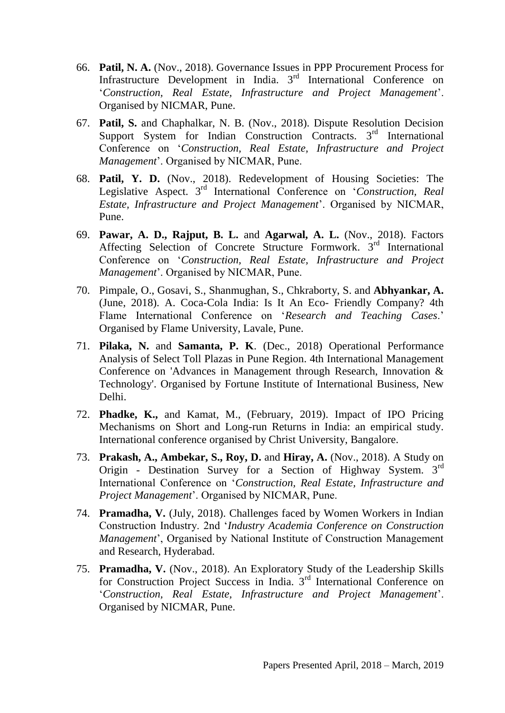- 66. **Patil, N. A.** (Nov., 2018). Governance Issues in PPP Procurement Process for Infrastructure Development in India. 3<sup>rd</sup> International Conference on '*Construction, Real Estate, Infrastructure and Project Management*'. Organised by NICMAR, Pune.
- 67. **Patil, S.** and Chaphalkar, N. B. (Nov., 2018). Dispute Resolution Decision Support System for Indian Construction Contracts.  $3<sup>rd</sup>$  International Conference on '*Construction, Real Estate, Infrastructure and Project Management*'. Organised by NICMAR, Pune.
- 68. **Patil, Y. D.** (Nov., 2018). Redevelopment of Housing Societies: The Legislative Aspect. 3rd International Conference on '*Construction, Real Estate, Infrastructure and Project Management*'. Organised by NICMAR, Pune.
- 69. **Pawar, A. D., Rajput, B. L.** and **Agarwal, A. L.** (Nov., 2018). Factors Affecting Selection of Concrete Structure Formwork. 3<sup>rd</sup> International Conference on '*Construction, Real Estate, Infrastructure and Project Management*'. Organised by NICMAR, Pune.
- 70. Pimpale, O., Gosavi, S., Shanmughan, S., Chkraborty, S. and **Abhyankar, A.** (June, 2018). A. Coca-Cola India: Is It An Eco- Friendly Company? 4th Flame International Conference on '*Research and Teaching Cases*.' Organised by Flame University, Lavale, Pune.
- 71. **Pilaka, N.** and **Samanta, P. K**. (Dec., 2018) Operational Performance Analysis of Select Toll Plazas in Pune Region. 4th International Management Conference on 'Advances in Management through Research, Innovation & Technology'. Organised by Fortune Institute of International Business, New Delhi.
- 72. **Phadke, K.,** and Kamat, M., (February, 2019). Impact of IPO Pricing Mechanisms on Short and Long-run Returns in India: an empirical study. International conference organised by Christ University, Bangalore.
- 73. **Prakash, A., Ambekar, S., Roy, D.** and **Hiray, A.** (Nov., 2018). A Study on Origin - Destination Survey for a Section of Highway System. 3rd International Conference on '*Construction, Real Estate, Infrastructure and Project Management*'. Organised by NICMAR, Pune.
- 74. **Pramadha, V.** (July, 2018). Challenges faced by Women Workers in Indian Construction Industry. 2nd '*Industry Academia Conference on Construction Management*', Organised by National Institute of Construction Management and Research, Hyderabad.
- 75. **Pramadha, V.** (Nov., 2018). An Exploratory Study of the Leadership Skills for Construction Project Success in India. 3rd International Conference on '*Construction, Real Estate, Infrastructure and Project Management*'. Organised by NICMAR, Pune.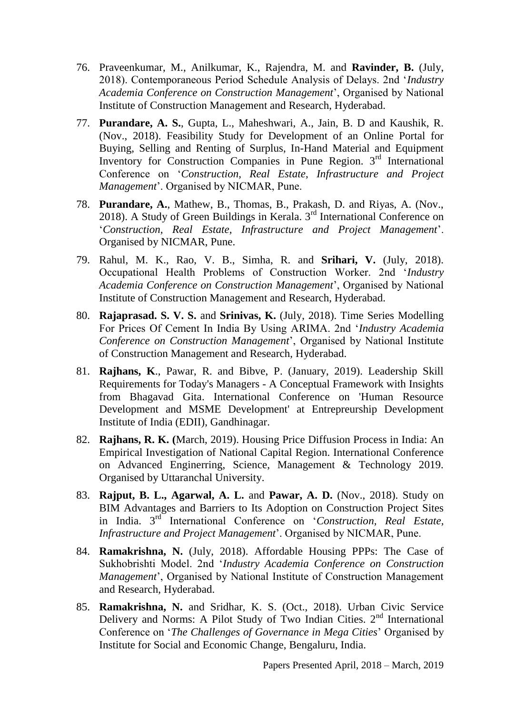- 76. Praveenkumar, M., Anilkumar, K., Rajendra, M. and **Ravinder, B.** (July, 2018). Contemporaneous Period Schedule Analysis of Delays. 2nd '*Industry Academia Conference on Construction Management*', Organised by National Institute of Construction Management and Research, Hyderabad.
- 77. **Purandare, A. S.**, Gupta, L., Maheshwari, A., Jain, B. D and Kaushik, R. (Nov., 2018). Feasibility Study for Development of an Online Portal for Buying, Selling and Renting of Surplus, In-Hand Material and Equipment Inventory for Construction Companies in Pune Region. 3<sup>rd</sup> International Conference on '*Construction, Real Estate, Infrastructure and Project Management*'. Organised by NICMAR, Pune.
- 78. **Purandare, A.**, Mathew, B., Thomas, B., Prakash, D. and Riyas, A. (Nov., 2018). A Study of Green Buildings in Kerala. 3rd International Conference on '*Construction, Real Estate, Infrastructure and Project Management*'. Organised by NICMAR, Pune.
- 79. Rahul, M. K., Rao, V. B., Simha, R. and **Srihari, V.** (July, 2018). Occupational Health Problems of Construction Worker. 2nd '*Industry Academia Conference on Construction Management*', Organised by National Institute of Construction Management and Research, Hyderabad.
- 80. **Rajaprasad. S. V. S.** and **Srinivas, K.** (July, 2018). Time Series Modelling For Prices Of Cement In India By Using ARIMA. 2nd '*Industry Academia Conference on Construction Management*', Organised by National Institute of Construction Management and Research, Hyderabad.
- 81. **Rajhans, K**., Pawar, R. and Bibve, P. (January, 2019). Leadership Skill Requirements for Today's Managers - A Conceptual Framework with Insights from Bhagavad Gita. International Conference on 'Human Resource Development and MSME Development' at Entrepreurship Development Institute of India (EDII), Gandhinagar.
- 82. **Rajhans, R. K. (**March, 2019). Housing Price Diffusion Process in India: An Empirical Investigation of National Capital Region. International Conference on Advanced Enginerring, Science, Management & Technology 2019. Organised by Uttaranchal University.
- 83. **Rajput, B. L., Agarwal, A. L.** and **Pawar, A. D.** (Nov., 2018). Study on BIM Advantages and Barriers to Its Adoption on Construction Project Sites in India. 3<sup>rd</sup> International Conference on '*Construction, Real Estate*, *Infrastructure and Project Management*'. Organised by NICMAR, Pune.
- 84. **Ramakrishna, N.** (July, 2018). Affordable Housing PPPs: The Case of Sukhobrishti Model. 2nd '*Industry Academia Conference on Construction Management*', Organised by National Institute of Construction Management and Research, Hyderabad.
- 85. **Ramakrishna, N.** and Sridhar, K. S. (Oct., 2018). Urban Civic Service Delivery and Norms: A Pilot Study of Two Indian Cities.  $2<sup>nd</sup>$  International Conference on '*The Challenges of Governance in Mega Cities*' Organised by Institute for Social and Economic Change, Bengaluru, India.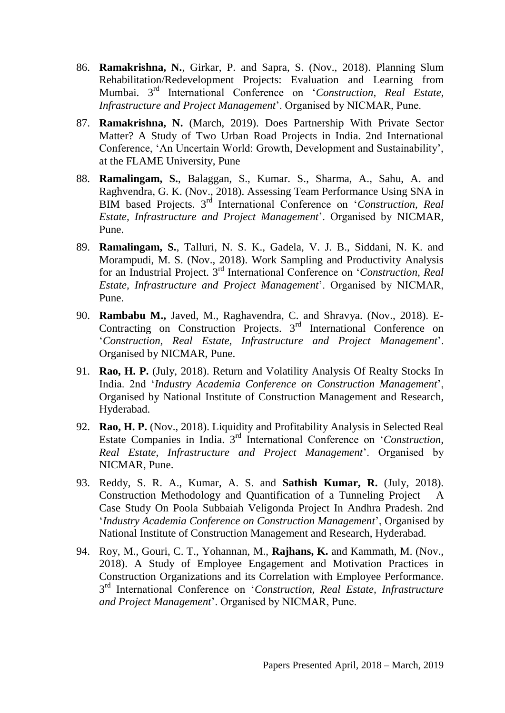- 86. **Ramakrishna, N.**, Girkar, P. and Sapra, S. (Nov., 2018). Planning Slum Rehabilitation/Redevelopment Projects: Evaluation and Learning from Mumbai. 3rd International Conference on '*Construction, Real Estate, Infrastructure and Project Management*'. Organised by NICMAR, Pune.
- 87. **Ramakrishna, N.** (March, 2019). Does Partnership With Private Sector Matter? A Study of Two Urban Road Projects in India. 2nd International Conference, 'An Uncertain World: Growth, Development and Sustainability', at the FLAME University, Pune
- 88. **Ramalingam, S.**, Balaggan, S., Kumar. S., Sharma, A., Sahu, A. and Raghvendra, G. K. (Nov., 2018). Assessing Team Performance Using SNA in BIM based Projects. 3<sup>rd</sup> International Conference on '*Construction, Real Estate, Infrastructure and Project Management*'. Organised by NICMAR, Pune.
- 89. **Ramalingam, S.**, Talluri, N. S. K., Gadela, V. J. B., Siddani, N. K. and Morampudi, M. S. (Nov., 2018). Work Sampling and Productivity Analysis for an Industrial Project. 3rd International Conference on '*Construction, Real Estate, Infrastructure and Project Management*'. Organised by NICMAR, Pune.
- 90. **Rambabu M.,** Javed, M., Raghavendra, C. and Shravya. (Nov., 2018). E-Contracting on Construction Projects. 3<sup>rd</sup> International Conference on '*Construction, Real Estate, Infrastructure and Project Management*'. Organised by NICMAR, Pune.
- 91. **Rao, H. P.** (July, 2018). Return and Volatility Analysis Of Realty Stocks In India. 2nd '*Industry Academia Conference on Construction Management*', Organised by National Institute of Construction Management and Research, Hyderabad.
- 92. **Rao, H. P.** (Nov., 2018). Liquidity and Profitability Analysis in Selected Real Estate Companies in India. 3rd International Conference on '*Construction, Real Estate, Infrastructure and Project Management*'. Organised by NICMAR, Pune.
- 93. Reddy, S. R. A., Kumar, A. S. and **Sathish Kumar, R.** (July, 2018). Construction Methodology and Quantification of a Tunneling Project – A Case Study On Poola Subbaiah Veligonda Project In Andhra Pradesh. 2nd '*Industry Academia Conference on Construction Management*', Organised by National Institute of Construction Management and Research, Hyderabad.
- 94. Roy, M., Gouri, C. T., Yohannan, M., **Rajhans, K.** and Kammath, M. (Nov., 2018). A Study of Employee Engagement and Motivation Practices in Construction Organizations and its Correlation with Employee Performance. 3 rd International Conference on '*Construction, Real Estate, Infrastructure and Project Management*'. Organised by NICMAR, Pune.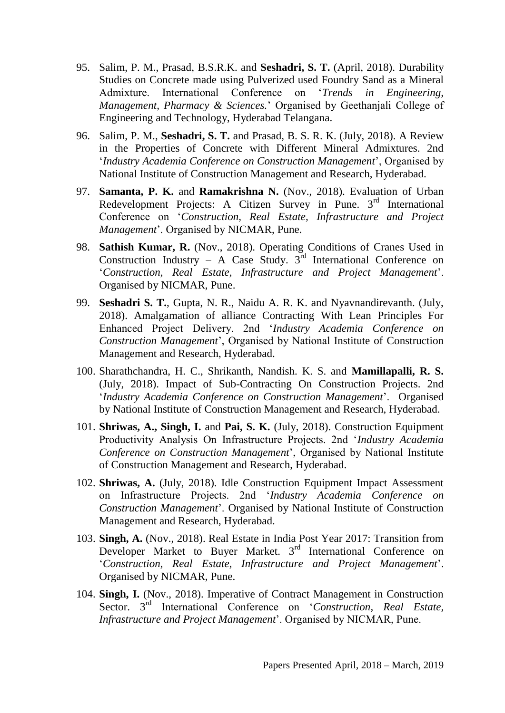- 95. Salim, P. M., Prasad, B.S.R.K. and **Seshadri, S. T.** (April, 2018). Durability Studies on Concrete made using Pulverized used Foundry Sand as a Mineral Admixture. International Conference on '*Trends in Engineering, Management, Pharmacy & Sciences.*' Organised by Geethanjali College of Engineering and Technology, Hyderabad Telangana.
- 96. Salim, P. M., **Seshadri, S. T.** and Prasad, B. S. R. K. (July, 2018). A Review in the Properties of Concrete with Different Mineral Admixtures. 2nd '*Industry Academia Conference on Construction Management*', Organised by National Institute of Construction Management and Research, Hyderabad.
- 97. **Samanta, P. K.** and **Ramakrishna N.** (Nov., 2018). Evaluation of Urban Redevelopment Projects: A Citizen Survey in Pune. 3<sup>rd</sup> International Conference on '*Construction, Real Estate, Infrastructure and Project Management*'. Organised by NICMAR, Pune.
- 98. **Sathish Kumar, R.** (Nov., 2018). Operating Conditions of Cranes Used in Construction Industry – A Case Study.  $3<sup>rd</sup>$  International Conference on '*Construction, Real Estate, Infrastructure and Project Management*'. Organised by NICMAR, Pune.
- 99. **Seshadri S. T.**, Gupta, N. R., Naidu A. R. K. and Nyavnandirevanth. (July, 2018). Amalgamation of alliance Contracting With Lean Principles For Enhanced Project Delivery. 2nd '*Industry Academia Conference on Construction Management*', Organised by National Institute of Construction Management and Research, Hyderabad.
- 100. Sharathchandra, H. C., Shrikanth, Nandish. K. S. and **Mamillapalli, R. S.** (July, 2018). Impact of Sub-Contracting On Construction Projects. 2nd '*Industry Academia Conference on Construction Management*'. Organised by National Institute of Construction Management and Research, Hyderabad.
- 101. **Shriwas, A., Singh, I.** and **Pai, S. K.** (July, 2018). Construction Equipment Productivity Analysis On Infrastructure Projects. 2nd '*Industry Academia Conference on Construction Management*', Organised by National Institute of Construction Management and Research, Hyderabad.
- 102. **Shriwas, A.** (July, 2018). Idle Construction Equipment Impact Assessment on Infrastructure Projects. 2nd '*Industry Academia Conference on Construction Management*'. Organised by National Institute of Construction Management and Research, Hyderabad.
- 103. **Singh, A.** (Nov., 2018). Real Estate in India Post Year 2017: Transition from Developer Market to Buyer Market. 3<sup>rd</sup> International Conference on '*Construction, Real Estate, Infrastructure and Project Management*'. Organised by NICMAR, Pune.
- 104. **Singh, I.** (Nov., 2018). Imperative of Contract Management in Construction Sector. 3<sup>rd</sup> International Conference on '*Construction, Real Estate*, *Infrastructure and Project Management*'. Organised by NICMAR, Pune.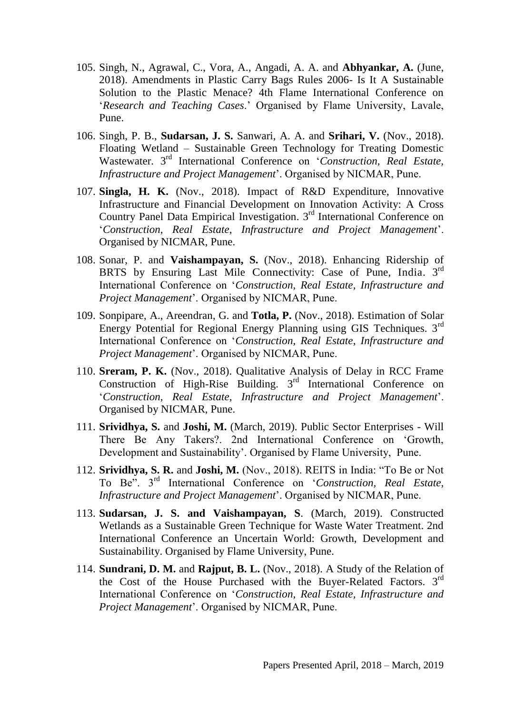- 105. Singh, N., Agrawal, C., Vora, A., Angadi, A. A. and **Abhyankar, A.** (June, 2018). Amendments in Plastic Carry Bags Rules 2006- Is It A Sustainable Solution to the Plastic Menace? 4th Flame International Conference on '*Research and Teaching Cases*.' Organised by Flame University, Lavale, Pune.
- 106. Singh, P. B., **Sudarsan, J. S.** Sanwari, A. A. and **Srihari, V.** (Nov., 2018). Floating Wetland – Sustainable Green Technology for Treating Domestic Wastewater. 3rd International Conference on '*Construction, Real Estate, Infrastructure and Project Management*'. Organised by NICMAR, Pune.
- 107. **Singla, H. K.** (Nov., 2018). Impact of R&D Expenditure, Innovative Infrastructure and Financial Development on Innovation Activity: A Cross Country Panel Data Empirical Investigation. 3<sup>rd</sup> International Conference on '*Construction, Real Estate, Infrastructure and Project Management*'. Organised by NICMAR, Pune.
- 108. Sonar, P. and **Vaishampayan, S.** (Nov., 2018). Enhancing Ridership of BRTS by Ensuring Last Mile Connectivity: Case of Pune, India. 3<sup>rd</sup> International Conference on '*Construction, Real Estate, Infrastructure and Project Management*'. Organised by NICMAR, Pune.
- 109. Sonpipare, A., Areendran, G. and **Totla, P.** (Nov., 2018). Estimation of Solar Energy Potential for Regional Energy Planning using GIS Techniques. 3rd International Conference on '*Construction, Real Estate, Infrastructure and Project Management*'. Organised by NICMAR, Pune.
- 110. **Sreram, P. K.** (Nov., 2018). Qualitative Analysis of Delay in RCC Frame Construction of High-Rise Building. 3rd International Conference on '*Construction, Real Estate, Infrastructure and Project Management*'. Organised by NICMAR, Pune.
- 111. **Srividhya, S.** and **Joshi, M.** (March, 2019). Public Sector Enterprises Will There Be Any Takers?. 2nd International Conference on 'Growth, Development and Sustainability'. Organised by Flame University, Pune.
- 112. **Srividhya, S. R.** and **Joshi, M.** (Nov., 2018). REITS in India: "To Be or Not To Be". 3rd International Conference on '*Construction, Real Estate, Infrastructure and Project Management*'. Organised by NICMAR, Pune.
- 113. **Sudarsan, J. S. and Vaishampayan, S**. (March, 2019). Constructed Wetlands as a Sustainable Green Technique for Waste Water Treatment. 2nd International Conference an Uncertain World: Growth, Development and Sustainability. Organised by Flame University, Pune.
- 114. **Sundrani, D. M.** and **Rajput, B. L.** (Nov., 2018). A Study of the Relation of the Cost of the House Purchased with the Buyer-Related Factors.  $3<sup>rd</sup>$ International Conference on '*Construction, Real Estate, Infrastructure and Project Management*'. Organised by NICMAR, Pune.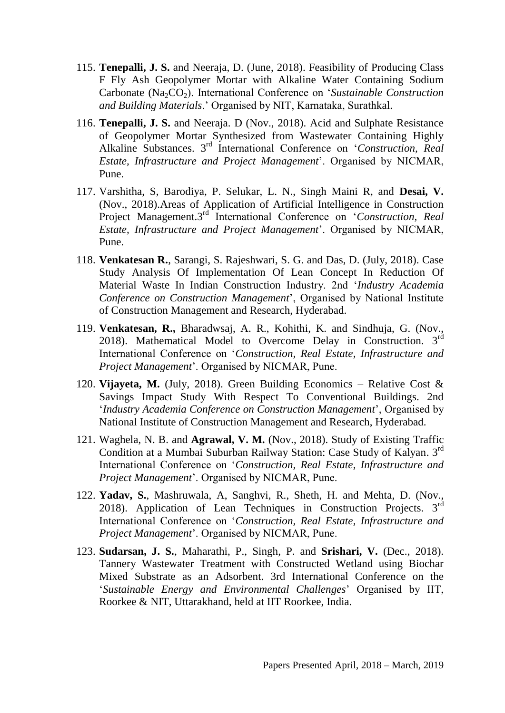- 115. **Tenepalli, J. S.** and Neeraja, D. (June, 2018). Feasibility of Producing Class F Fly Ash Geopolymer Mortar with Alkaline Water Containing Sodium Carbonate (Na<sub>2</sub>CO<sub>2</sub>). International Conference on '*Sustainable Construction and Building Materials*.' Organised by NIT, Karnataka, Surathkal.
- 116. **Tenepalli, J. S.** and Neeraja. D (Nov., 2018). Acid and Sulphate Resistance of Geopolymer Mortar Synthesized from Wastewater Containing Highly Alkaline Substances. 3rd International Conference on '*Construction, Real Estate, Infrastructure and Project Management*'. Organised by NICMAR, Pune.
- 117. Varshitha, S, Barodiya, P. Selukar, L. N., Singh Maini R, and **Desai, V.** (Nov., 2018).Areas of Application of Artificial Intelligence in Construction Project Management.3<sup>rd</sup> International Conference on 'Construction, Real *Estate, Infrastructure and Project Management*'. Organised by NICMAR, Pune.
- 118. **Venkatesan R.**, Sarangi, S. Rajeshwari, S. G. and Das, D. (July, 2018). Case Study Analysis Of Implementation Of Lean Concept In Reduction Of Material Waste In Indian Construction Industry. 2nd '*Industry Academia Conference on Construction Management*', Organised by National Institute of Construction Management and Research, Hyderabad.
- 119. **Venkatesan, R.,** Bharadwsaj, A. R., Kohithi, K. and Sindhuja, G. (Nov., 2018). Mathematical Model to Overcome Delay in Construction.  $3<sup>rd</sup>$ International Conference on '*Construction, Real Estate, Infrastructure and Project Management*'. Organised by NICMAR, Pune.
- 120. **Vijayeta, M.** (July, 2018). Green Building Economics Relative Cost & Savings Impact Study With Respect To Conventional Buildings. 2nd '*Industry Academia Conference on Construction Management*', Organised by National Institute of Construction Management and Research, Hyderabad.
- 121. Waghela, N. B. and **Agrawal, V. M.** (Nov., 2018). Study of Existing Traffic Condition at a Mumbai Suburban Railway Station: Case Study of Kalyan. 3rd International Conference on '*Construction, Real Estate, Infrastructure and Project Management*'. Organised by NICMAR, Pune.
- 122. **Yadav, S.**, Mashruwala, A, Sanghvi, R., Sheth, H. and Mehta, D. (Nov., 2018). Application of Lean Techniques in Construction Projects.  $3<sup>rd</sup>$ International Conference on '*Construction, Real Estate, Infrastructure and Project Management*'. Organised by NICMAR, Pune.
- 123. **Sudarsan, J. S.**, Maharathi, P., Singh, P. and **Srishari, V.** (Dec., 2018). Tannery Wastewater Treatment with Constructed Wetland using Biochar Mixed Substrate as an Adsorbent. 3rd International Conference on the '*Sustainable Energy and Environmental Challenges*' Organised by IIT, Roorkee & NIT, Uttarakhand, held at IIT Roorkee, India.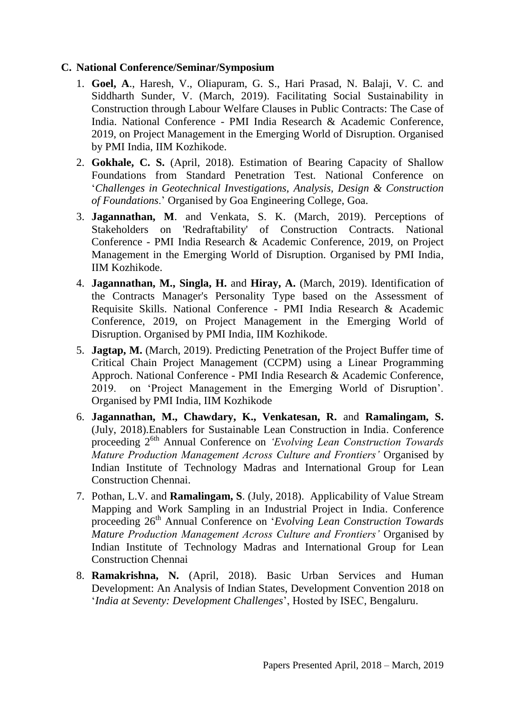## **C. National Conference/Seminar/Symposium**

- 1. **Goel, A**., Haresh, V., Oliapuram, G. S., Hari Prasad, N. Balaji, V. C. and Siddharth Sunder, V. (March, 2019). Facilitating Social Sustainability in Construction through Labour Welfare Clauses in Public Contracts: The Case of India. National Conference - PMI India Research & Academic Conference, 2019, on Project Management in the Emerging World of Disruption. Organised by PMI India, IIM Kozhikode.
- 2. **Gokhale, C. S.** (April, 2018). Estimation of Bearing Capacity of Shallow Foundations from Standard Penetration Test. National Conference on '*Challenges in Geotechnical Investigations, Analysis, Design & Construction of Foundations*.' Organised by Goa Engineering College, Goa.
- 3. **Jagannathan, M**. and Venkata, S. K. (March, 2019). Perceptions of Stakeholders on 'Redraftability' of Construction Contracts. National Conference - PMI India Research & Academic Conference, 2019, on Project Management in the Emerging World of Disruption. Organised by PMI India, IIM Kozhikode.
- 4. **Jagannathan, M., Singla, H.** and **Hiray, A.** (March, 2019). Identification of the Contracts Manager's Personality Type based on the Assessment of Requisite Skills. National Conference - PMI India Research & Academic Conference, 2019, on Project Management in the Emerging World of Disruption. Organised by PMI India, IIM Kozhikode.
- 5. **Jagtap, M.** (March, 2019). Predicting Penetration of the Project Buffer time of Critical Chain Project Management (CCPM) using a Linear Programming Approch. National Conference - PMI India Research & Academic Conference, 2019. on 'Project Management in the Emerging World of Disruption'. Organised by PMI India, IIM Kozhikode
- 6. **Jagannathan, M., Chawdary, K., Venkatesan, R.** and **Ramalingam, S.** (July, 2018).Enablers for Sustainable Lean Construction in India. Conference proceeding 26th Annual Conference on *'Evolving Lean Construction Towards Mature Production Management Across Culture and Frontiers'* Organised by Indian Institute of Technology Madras and International Group for Lean Construction Chennai.
- 7. Pothan, L.V. and **Ramalingam, S**. (July, 2018). Applicability of Value Stream Mapping and Work Sampling in an Industrial Project in India. Conference proceeding 26<sup>th</sup> Annual Conference on '*Evolving Lean Construction Towards Mature Production Management Across Culture and Frontiers'* Organised by Indian Institute of Technology Madras and International Group for Lean Construction Chennai
- 8. **Ramakrishna, N.** (April, 2018). Basic Urban Services and Human Development: An Analysis of Indian States, Development Convention 2018 on '*India at Seventy: Development Challenges*', Hosted by ISEC, Bengaluru.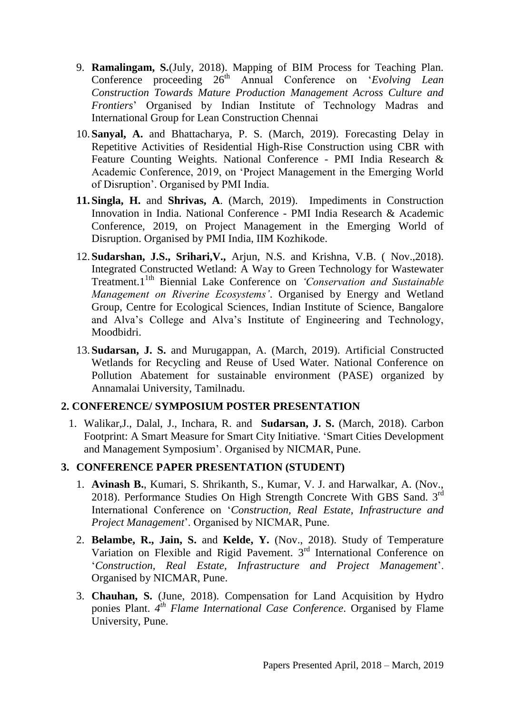- 9. **Ramalingam, S.**(July, 2018). Mapping of BIM Process for Teaching Plan. Conference proceeding  $26<sup>th</sup>$  Annual Conference on '*Evolving Lean Construction Towards Mature Production Management Across Culture and Frontiers*' Organised by Indian Institute of Technology Madras and International Group for Lean Construction Chennai
- 10.**Sanyal, A.** and Bhattacharya, P. S. (March, 2019). Forecasting Delay in Repetitive Activities of Residential High-Rise Construction using CBR with Feature Counting Weights. National Conference - PMI India Research & Academic Conference, 2019, on 'Project Management in the Emerging World of Disruption'. Organised by PMI India.
- **11.Singla, H.** and **Shrivas, A**. (March, 2019). Impediments in Construction Innovation in India. National Conference - PMI India Research & Academic Conference, 2019, on Project Management in the Emerging World of Disruption. Organised by PMI India, IIM Kozhikode.
- 12.**Sudarshan, J.S., Srihari,V.,** Arjun, N.S. and Krishna, V.B. ( Nov.,2018). Integrated Constructed Wetland: A Way to Green Technology for Wastewater Treatment.11th Biennial Lake Conference on *'Conservation and Sustainable Management on Riverine Ecosystems'*. Organised by Energy and Wetland Group, Centre for Ecological Sciences, Indian Institute of Science, Bangalore and Alva's College and Alva's Institute of Engineering and Technology, Moodbidri.
- 13.**Sudarsan, J. S.** and Murugappan, A. (March, 2019). Artificial Constructed Wetlands for Recycling and Reuse of Used Water. National Conference on Pollution Abatement for sustainable environment (PASE) organized by Annamalai University, Tamilnadu.

# **2. CONFERENCE/ SYMPOSIUM POSTER PRESENTATION**

1. Walikar,J., Dalal, J., Inchara, R. and **Sudarsan, J. S.** (March, 2018). Carbon Footprint: A Smart Measure for Smart City Initiative. 'Smart Cities Development and Management Symposium'. Organised by NICMAR, Pune.

# **3. CONFERENCE PAPER PRESENTATION (STUDENT)**

- 1. **Avinash B.**, Kumari, S. Shrikanth, S., Kumar, V. J. and Harwalkar, A. (Nov., 2018). Performance Studies On High Strength Concrete With GBS Sand. 3<sup>rd</sup> International Conference on '*Construction, Real Estate, Infrastructure and Project Management*'. Organised by NICMAR, Pune.
- 2. **Belambe, R., Jain, S.** and **Kelde, Y.** (Nov., 2018). Study of Temperature Variation on Flexible and Rigid Pavement. 3<sup>rd</sup> International Conference on '*Construction, Real Estate, Infrastructure and Project Management*'. Organised by NICMAR, Pune.
- 3. **Chauhan, S.** (June, 2018). Compensation for Land Acquisition by Hydro ponies Plant. 4<sup>th</sup> Flame International Case Conference. Organised by Flame University, Pune.